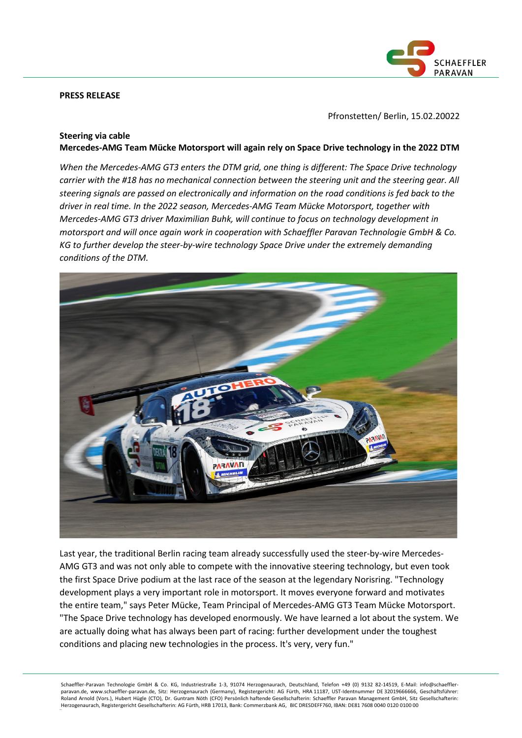### **PRESS RELEASE**



Pfronstetten/ Berlin, 15.02.20022

## **Steering via cable**

**Mercedes-AMG Team Mücke Motorsport will again rely on Space Drive technology in the 2022 DTM**

*When the Mercedes-AMG GT3 enters the DTM grid, one thing is different: The Space Drive technology carrier with the #18 has no mechanical connection between the steering unit and the steering gear. All steering signals are passed on electronically and information on the road conditions is fed back to the driver in real time. In the 2022 season, Mercedes-AMG Team Mücke Motorsport, together with Mercedes-AMG GT3 driver Maximilian Buhk, will continue to focus on technology development in motorsport and will once again work in cooperation with Schaeffler Paravan Technologie GmbH & Co. KG to further develop the steer-by-wire technology Space Drive under the extremely demanding conditions of the DTM.*



Last year, the traditional Berlin racing team already successfully used the steer-by-wire Mercedes-AMG GT3 and was not only able to compete with the innovative steering technology, but even took the first Space Drive podium at the last race of the season at the legendary Norisring. "Technology development plays a very important role in motorsport. It moves everyone forward and motivates the entire team," says Peter Mücke, Team Principal of Mercedes-AMG GT3 Team Mücke Motorsport. "The Space Drive technology has developed enormously. We have learned a lot about the system. We are actually doing what has always been part of racing: further development under the toughest conditions and placing new technologies in the process. It's very, very fun."

Schaeffler-Paravan Technologie GmbH & Co. KG, Industriestraße 1-3, 91074 Herzogenaurach, Deutschland, Telefon +49 (0) 9132 82-14519, E-Mail: info@schaefflerparavan.de, www.schaeffler-paravan.de, Sitz: Herzogenaurach (Germany), Registergericht: AG Fürth, HRA 11187, UST-Identnummer DE 32019666666, Geschäftsführer: Roland Arnold (Vors.), Hubert Hügle (CTO), Dr. Guntram Nöth (CFO) Persönlich haftende Gesellschafterin: Schaeffler Paravan Management GmbH, Sitz Gesellschafterin: Herzogenaurach, Registergericht Gesellschafterin: AG Fürth, HRB 17013, Bank: Commerzbank AG, BIC DRESDEFF760, IBAN: DE81 7608 0040 0120 0100 00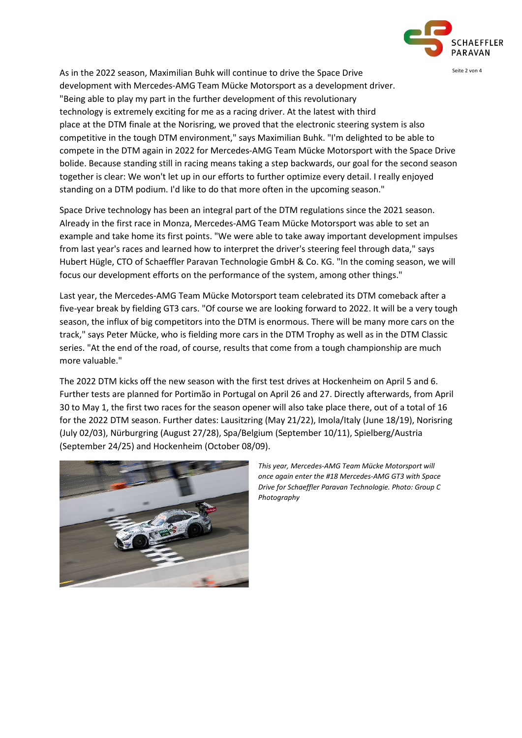

As in the 2022 season, Maximilian Buhk will continue to drive the Space Drive Superman Seite 2 von 4 development with Mercedes-AMG Team Mücke Motorsport as a development driver. "Being able to play my part in the further development of this revolutionary technology is extremely exciting for me as a racing driver. At the latest with third place at the DTM finale at the Norisring, we proved that the electronic steering system is also competitive in the tough DTM environment," says Maximilian Buhk. "I'm delighted to be able to compete in the DTM again in 2022 for Mercedes-AMG Team Mücke Motorsport with the Space Drive bolide. Because standing still in racing means taking a step backwards, our goal for the second season together is clear: We won't let up in our efforts to further optimize every detail. I really enjoyed standing on a DTM podium. I'd like to do that more often in the upcoming season."

Space Drive technology has been an integral part of the DTM regulations since the 2021 season. Already in the first race in Monza, Mercedes-AMG Team Mücke Motorsport was able to set an example and take home its first points. "We were able to take away important development impulses from last year's races and learned how to interpret the driver's steering feel through data," says Hubert Hügle, CTO of Schaeffler Paravan Technologie GmbH & Co. KG. "In the coming season, we will focus our development efforts on the performance of the system, among other things."

Last year, the Mercedes-AMG Team Mücke Motorsport team celebrated its DTM comeback after a five-year break by fielding GT3 cars. "Of course we are looking forward to 2022. It will be a very tough season, the influx of big competitors into the DTM is enormous. There will be many more cars on the track," says Peter Mücke, who is fielding more cars in the DTM Trophy as well as in the DTM Classic series. "At the end of the road, of course, results that come from a tough championship are much more valuable."

The 2022 DTM kicks off the new season with the first test drives at Hockenheim on April 5 and 6. Further tests are planned for Portimão in Portugal on April 26 and 27. Directly afterwards, from April 30 to May 1, the first two races for the season opener will also take place there, out of a total of 16 for the 2022 DTM season. Further dates: Lausitzring (May 21/22), Imola/Italy (June 18/19), Norisring (July 02/03), Nürburgring (August 27/28), Spa/Belgium (September 10/11), Spielberg/Austria (September 24/25) and Hockenheim (October 08/09).



*This year, Mercedes-AMG Team Mücke Motorsport will once again enter the #18 Mercedes-AMG GT3 with Space Drive for Schaeffler Paravan Technologie. Photo: Group C Photography*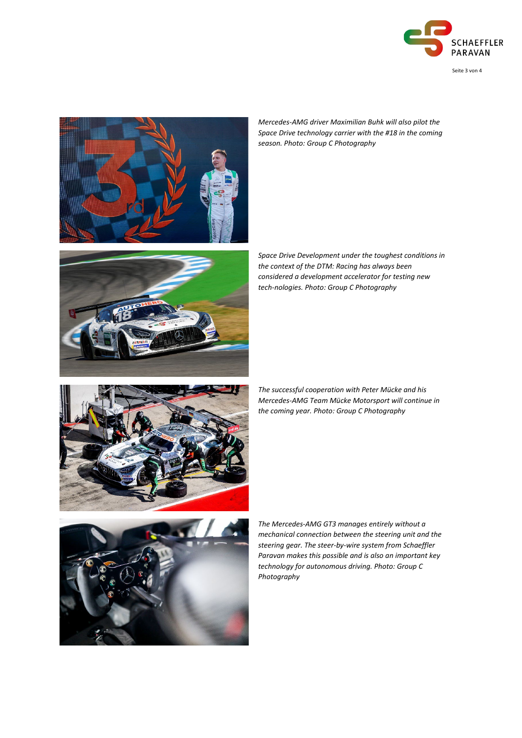

Seite 3 von 4



*Mercedes-AMG driver Maximilian Buhk will also pilot the Space Drive technology carrier with the #18 in the coming season. Photo: Group C Photography*



*Space Drive Development under the toughest conditions in the context of the DTM: Racing has always been considered a development accelerator for testing new tech-nologies. Photo: Group C Photography*



*The successful cooperation with Peter Mücke and his Mercedes-AMG Team Mücke Motorsport will continue in the coming year. Photo: Group C Photography*



*The Mercedes-AMG GT3 manages entirely without a mechanical connection between the steering unit and the steering gear. The steer-by-wire system from Schaeffler Paravan makes this possible and is also an important key technology for autonomous driving. Photo: Group C Photography*